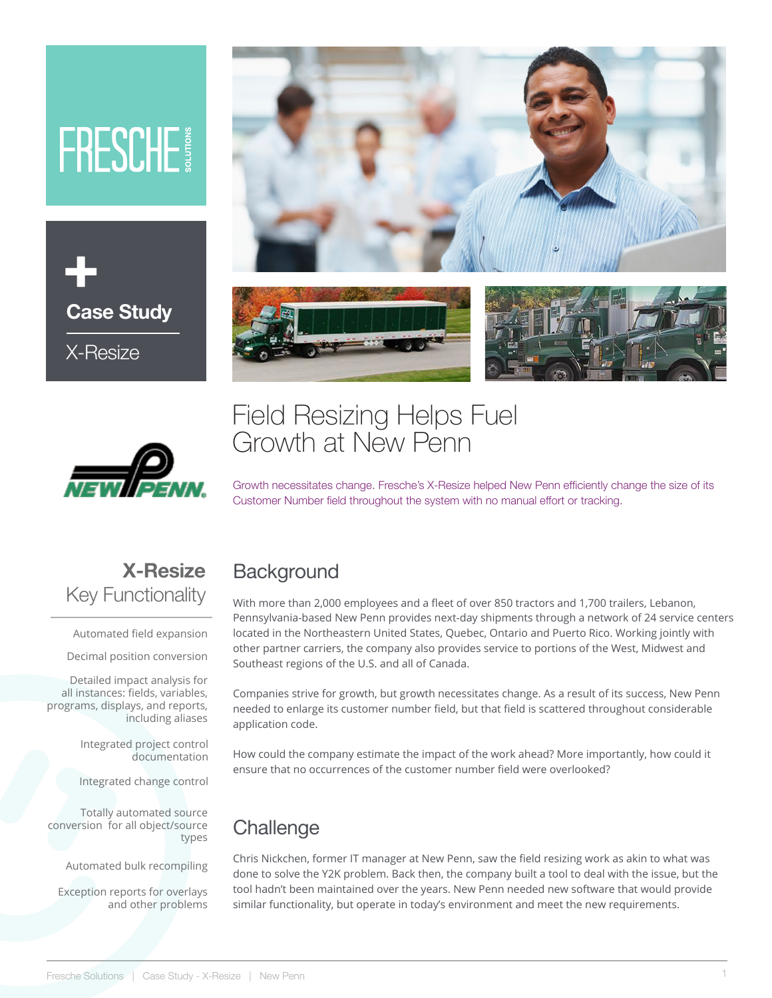# FRESCHE





# Field Resizing Helps Fuel Growth at New Penn



Growth necessitates change. Fresche's X-Resize helped New Penn efficiently change the size of its Customer Number field throughout the system with no manual effort or tracking.

### **X-Resize** Key Functionality

Automated field expansion

Decimal position conversion

Detailed impact analysis for all instances: fields, variables, programs, displays, and reports, including aliases

> Integrated project control documentation

Integrated change control

Totally automated source conversion for all object/source types

Automated bulk recompiling

Exception reports for overlays and other problems

#### **Background**

With more than 2,000 employees and a fleet of over 850 tractors and 1,700 trailers, Lebanon, Pennsylvania-based New Penn provides next-day shipments through a network of 24 service centers located in the Northeastern United States, Quebec, Ontario and Puerto Rico. Working jointly with other partner carriers, the company also provides service to portions of the West, Midwest and Southeast regions of the U.S. and all of Canada.

Companies strive for growth, but growth necessitates change. As a result of its success, New Penn needed to enlarge its customer number field, but that field is scattered throughout considerable application code.

How could the company estimate the impact of the work ahead? More importantly, how could it ensure that no occurrences of the customer number field were overlooked?

## **Challenge**

Chris Nickchen, former IT manager at New Penn, saw the field resizing work as akin to what was done to solve the Y2K problem. Back then, the company built a tool to deal with the issue, but the tool hadn't been maintained over the years. New Penn needed new software that would provide similar functionality, but operate in today's environment and meet the new requirements.